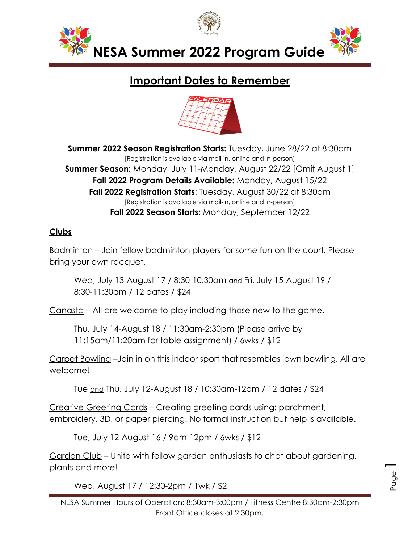

# **Important Dates to Remember**



**Summer 2022 Season Registration Starts:** Tuesday, June 28/22 at 8:30am<br>[Registration is available via mail-in, online and in-person] **Summer Season:** Monday, July 11-Monday, August 22/22 [Omit August 1] **Fall 2022 Program Details Available:** Monday, August 15/22 **Fall 2022 Registration Starts**: Tuesday, August 30/22 at 8:30am [Registration is available via mail-in, online and in-person] **Fall 2022 Season Starts:** Monday, September 12/22

## **Clubs**

Badminton – Join fellow badminton players for some fun on the court. Please bring your own racquet.

Wed, July 13-August 17 / 8:30-10:30am and Fri, July 15-August 19 / 8:30-11:30am / 12 dates / \$24

Canasta – All are welcome to play including those new to the game.

Thu, July 14-August 18 / 11:30am-2:30pm (Please arrive by 11:15am/11:20am for table assignment) / 6wks / \$12

Carpet Bowling –Join in on this indoor sport that resembles lawn bowling. All are welcome!

Tue and Thu, July 12-August 18 / 10:30am-12pm / 12 dates / \$24

Creative Greeting Cards – Creating greeting cards using: parchment, embroidery, 3D, or paper piercing. No formal instruction but help is available.

Tue, July 12-August 16 / 9am-12pm / 6wks / \$12

Garden Club – Unite with fellow garden enthusiasts to chat about gardening, plants and more!

Wed, August 17 / 12:30-2pm / 1wk / \$2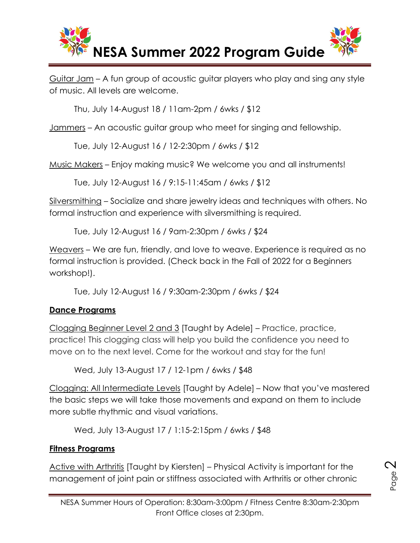

Guitar Jam – A fun group of acoustic guitar players who play and sing any style of music. All levels are welcome.

Thu, July 14-August 18 / 11am-2pm / 6wks / \$12

Jammers – An acoustic guitar group who meet for singing and fellowship.

Tue, July 12-August 16 / 12-2:30pm / 6wks / \$12

Music Makers – Enjoy making music? We welcome you and all instruments!

Tue, July 12-August 16 / 9:15-11:45am / 6wks / \$12

Silversmithing – Socialize and share jewelry ideas and techniques with others. No formal instruction and experience with silversmithing is required.

Tue, July 12-August 16 / 9am-2:30pm / 6wks / \$24

Weavers – We are fun, friendly, and love to weave. Experience is required as no formal instruction is provided. (Check back in the Fall of 2022 for a Beginners workshop!).

Tue, July 12-August 16 / 9:30am-2:30pm / 6wks / \$24

## **Dance Programs**

Clogging Beginner Level 2 and 3 [Taught by Adele] – Practice, practice, practice! This clogging class will help you build the confidence you need to move on to the next level. Come for the workout and stay for the fun!

Wed, July 13-August 17 / 12-1pm / 6wks / \$48

Clogging: All Intermediate Levels [Taught by Adele] – Now that you've mastered the basic steps we will take those movements and expand on them to include more subtle rhythmic and visual variations.

Wed, July 13-August 17 / 1:15-2:15pm / 6wks / \$48

## **Fitness Programs**

Active with Arthritis [Taught by Kiersten] – Physical Activity is important for the management of joint pain or stiffness associated with Arthritis or other chronic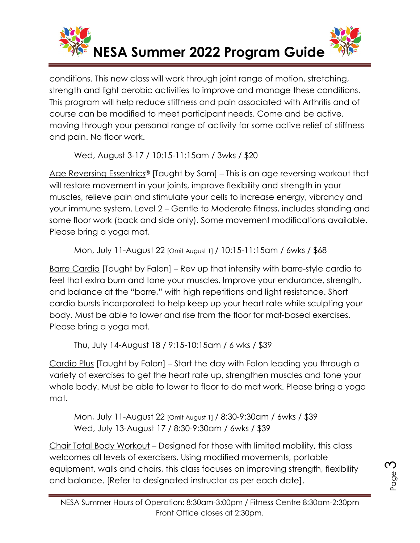

conditions. This new class will work through joint range of motion, stretching, strength and light aerobic activities to improve and manage these conditions. This program will help reduce stiffness and pain associated with Arthritis and of course can be modified to meet participant needs. Come and be active, moving through your personal range of activity for some active relief of stiffness and pain. No floor work.

Wed, August 3-17 / 10:15-11:15am / 3wks / \$20

Age Reversing Essentrics® [Taught by Sam] – This is an age reversing workout that will restore movement in your joints, improve flexibility and strength in your muscles, relieve pain and stimulate your cells to increase energy, vibrancy and your immune system. Level 2 – Gentle to Moderate fitness, includes standing and some floor work (back and side only). Some movement modifications available. Please bring a yoga mat.

Mon, July 11-August 22 [Omit August 1] / 10:15-11:15am / 6wks / \$68

Barre Cardio [Taught by Falon] – Rev up that intensity with barre-style cardio to feel that extra burn and tone your muscles. Improve your endurance, strength, and balance at the "barre," with high repetitions and light resistance. Short cardio bursts incorporated to help keep up your heart rate while sculpting your body. Must be able to lower and rise from the floor for mat-based exercises. Please bring a yoga mat.

Thu, July 14-August 18 / 9:15-10:15am / 6 wks / \$39

Cardio Plus [Taught by Falon] – Start the day with Falon leading you through a variety of exercises to get the heart rate up, strengthen muscles and tone your whole body. Must be able to lower to floor to do mat work. Please bring a yoga mat.

Mon, July 11-August 22 [Omit August 1] / 8:30-9:30am / 6wks / \$39 Wed, July 13-August 17 / 8:30-9:30am / 6wks / \$39

Chair Total Body Workout – Designed for those with limited mobility, this class welcomes all levels of exercisers. Using modified movements, portable equipment, walls and chairs, this class focuses on improving strength, flexibility and balance. [Refer to designated instructor as per each date].

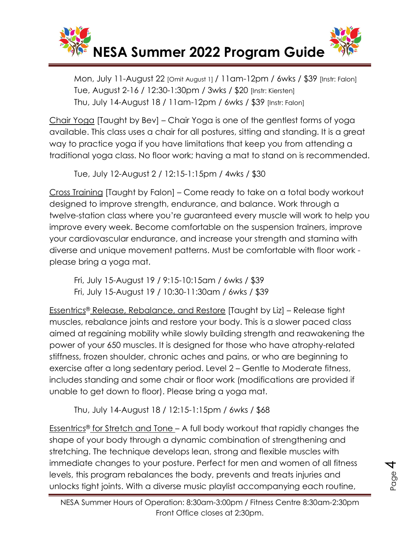

Mon, July 11-August 22 [Omit August 1] / 11am-12pm / 6wks / \$39 [Instr: Falon] Tue, August 2-16 / 12:30-1:30pm / 3wks / \$20 [Instr: Kiersten] Thu, July 14-August 18 / 11am-12pm / 6wks / \$39 [Instr: Falon]

Chair Yoga [Taught by Bev] – Chair Yoga is one of the gentlest forms of yoga available. This class uses a chair for all postures, sitting and standing. It is a great way to practice yoga if you have limitations that keep you from attending a traditional yoga class. No floor work; having a mat to stand on is recommended.

Tue, July 12-August 2 / 12:15-1:15pm / 4wks / \$30

Cross Training [Taught by Falon] – Come ready to take on a total body workout designed to improve strength, endurance, and balance. Work through a twelve-station class where you're guaranteed every muscle will work to help you improve every week. Become comfortable on the suspension trainers, improve your cardiovascular endurance, and increase your strength and stamina with diverse and unique movement patterns. Must be comfortable with floor work please bring a yoga mat.

Fri, July 15-August 19 / 9:15-10:15am / 6wks / \$39 Fri, July 15-August 19 / 10:30-11:30am / 6wks / \$39

Essentrics® Release, Rebalance, and Restore [Taught by Liz] – Release tight muscles, rebalance joints and restore your body. This is a slower paced class aimed at regaining mobility while slowly building strength and reawakening the power of your 650 muscles. It is designed for those who have atrophy-related stiffness, frozen shoulder, chronic aches and pains, or who are beginning to exercise after a long sedentary period. Level 2 – Gentle to Moderate fitness, includes standing and some chair or floor work (modifications are provided if unable to get down to floor). Please bring a yoga mat.

Thu, July 14-August 18 / 12:15-1:15pm / 6wks / \$68

Essentrics<sup>®</sup> for Stretch and Tone – A full body workout that rapidly changes the shape of your body through a dynamic combination of strengthening and stretching. The technique develops lean, strong and flexible muscles with immediate changes to your posture. Perfect for men and women of all fitness levels, this program rebalances the body, prevents and treats injuries and unlocks tight joints. With a diverse music playlist accompanying each routine,

Page

प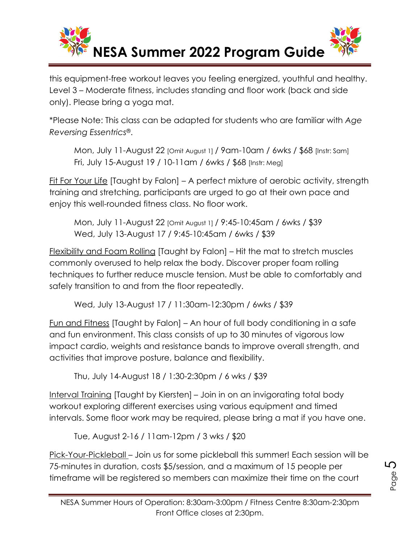

this equipment-free workout leaves you feeling energized, youthful and healthy. Level 3 – Moderate fitness, includes standing and floor work (back and side only). Please bring a yoga mat.

\*Please Note: This class can be adapted for students who are familiar with *Age Reversing Essentrics*®.

Mon, July 11-August 22 [Omit August 1] / 9am-10am / 6wks / \$68 [Instr: Sam] Fri, July 15-August 19 / 10-11am / 6wks / \$68 [Instr: Meg]

Fit For Your Life [Taught by Falon] – A perfect mixture of aerobic activity, strength training and stretching, participants are urged to go at their own pace and enjoy this well-rounded fitness class. No floor work.

Mon, July 11-August 22 [Omit August 1] / 9:45-10:45am / 6wks / \$39 Wed, July 13-August 17 / 9:45-10:45am / 6wks / \$39

Flexibility and Foam Rolling [Taught by Falon] – Hit the mat to stretch muscles commonly overused to help relax the body. Discover proper foam rolling techniques to further reduce muscle tension. Must be able to comfortably and safely transition to and from the floor repeatedly.

Wed, July 13-August 17 / 11:30am-12:30pm / 6wks / \$39

Fun and Fitness [Taught by Falon] – An hour of full body conditioning in a safe and fun environment. This class consists of up to 30 minutes of vigorous low impact cardio, weights and resistance bands to improve overall strength, and activities that improve posture, balance and flexibility.

Thu, July 14-August 18 / 1:30-2:30pm / 6 wks / \$39

Interval Training [Taught by Kiersten] – Join in on an invigorating total body workout exploring different exercises using various equipment and timed intervals. Some floor work may be required, please bring a mat if you have one.

Tue, August 2-16 / 11am-12pm / 3 wks / \$20

Pick-Your-Pickleball – Join us for some pickleball this summer! Each session will be 75-minutes in duration, costs \$5/session, and a maximum of 15 people per timeframe will be registered so members can maximize their time on the court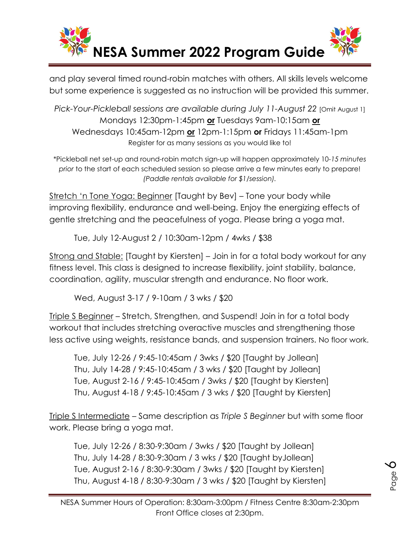

and play several timed round-robin matches with others. All skills levels welcome but some experience is suggested as no instruction will be provided this summer.

*Pick-Your-Pickleball sessions are available during July 11-August 22* [Omit August 1] Mondays 12:30pm-1:45pm **or** Tuesdays 9am-10:15am **or** Wednesdays 10:45am-12pm **or** 12pm-1:15pm **or** Fridays 11:45am-1pm Register for as many sessions as you would like to!

\*Pickleball net set-up and round-robin match sign-up will happen approximately 10-*15 minutes prior* to the start of each scheduled session so please arrive a few minutes early to prepare! *(Paddle rentals available for \$1/session).* 

Stretch 'n Tone Yoga: Beginner [Taught by Bev] – Tone your body while improving flexibility, endurance and well-being. Enjoy the energizing effects of gentle stretching and the peacefulness of yoga. Please bring a yoga mat.

Tue, July 12-August 2 / 10:30am-12pm / 4wks / \$38

Strong and Stable: [Taught by Kiersten] – Join in for a total body workout for any fitness level. This class is designed to increase flexibility, joint stability, balance, coordination, agility, muscular strength and endurance. No floor work.

Wed, August 3-17 / 9-10am / 3 wks / \$20

Triple S Beginner – Stretch, Strengthen, and Suspend! Join in for a total body workout that includes stretching overactive muscles and strengthening those less active using weights, resistance bands, and suspension trainers. No floor work.

Tue, July 12-26 / 9:45-10:45am / 3wks / \$20 [Taught by Jollean] Thu, July 14-28 / 9:45-10:45am / 3 wks / \$20 [Taught by Jollean] Tue, August 2-16 / 9:45-10:45am / 3wks / \$20 [Taught by Kiersten] Thu, August 4-18 / 9:45-10:45am / 3 wks / \$20 [Taught by Kiersten]

Triple S Intermediate – Same description as *Triple S Beginner* but with some floor work. Please bring a yoga mat.

Tue, July 12-26 / 8:30-9:30am / 3wks / \$20 [Taught by Jollean] Thu, July 14-28 / 8:30-9:30am / 3 wks / \$20 [Taught byJollean] Tue, August 2-16 / 8:30-9:30am / 3wks / \$20 [Taught by Kiersten] Thu, August 4-18 / 8:30-9:30am / 3 wks / \$20 [Taught by Kiersten]

Page

 $\infty$